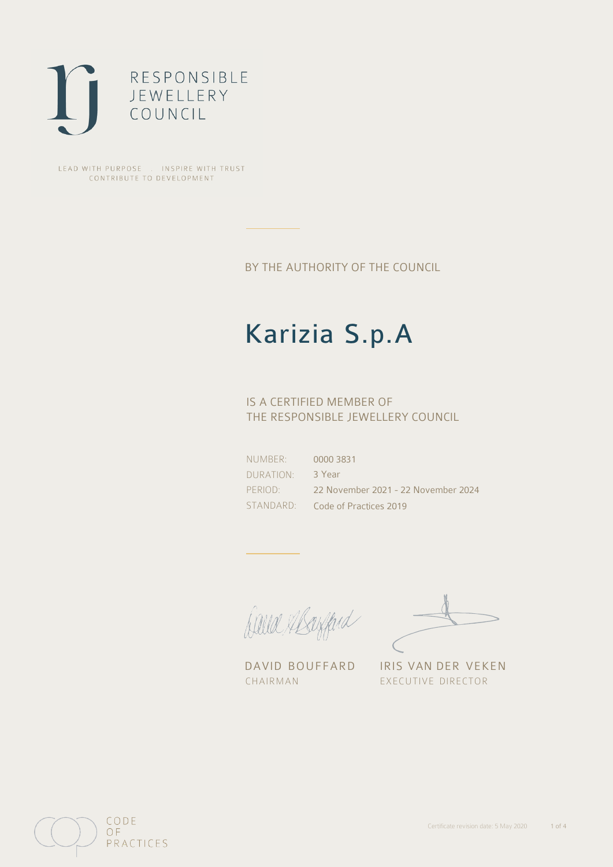

LEAD WITH PURPOSE . INSPIRE WITH TRUST CONTRIBUTE TO DEVELOPMENT

BY THE AUTHORITY OF THE COUNCIL

# Karizia S.p.A

## IS A CERTIFIED MEMBER OF THE RESPONSIBLE JEWELLERY COUNCIL

NUMBER: DURATION: PERIOD: STANDARD:

0000 3831 3 Year 22 November 2021 - 22 November 2024 Code of Practices 2019

Caux Margaret

DAVID BOUFFARD IRIS VAN DER VEKEN CHAIRMAN EXECUTIVE DIRECTOR

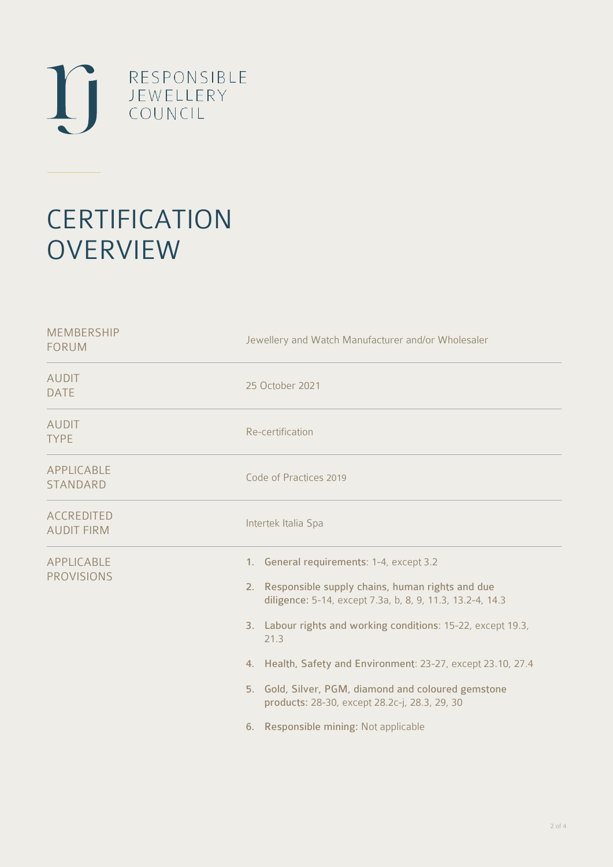

# **CERTIFICATION OVERVIEW**

| <b>MEMBERSHIP</b><br><b>FORUM</b>      | Jewellery and Watch Manufacturer and/or Wholesaler                                                                                                                                                                                                                                                                                                                                                                                                         |
|----------------------------------------|------------------------------------------------------------------------------------------------------------------------------------------------------------------------------------------------------------------------------------------------------------------------------------------------------------------------------------------------------------------------------------------------------------------------------------------------------------|
| <b>AUDIT</b><br><b>DATE</b>            | 25 October 2021                                                                                                                                                                                                                                                                                                                                                                                                                                            |
| <b>AUDIT</b><br><b>TYPE</b>            | Re-certification                                                                                                                                                                                                                                                                                                                                                                                                                                           |
| <b>APPLICABLE</b><br><b>STANDARD</b>   | Code of Practices 2019                                                                                                                                                                                                                                                                                                                                                                                                                                     |
| <b>ACCREDITED</b><br><b>AUDIT FIRM</b> | Intertek Italia Spa                                                                                                                                                                                                                                                                                                                                                                                                                                        |
| <b>APPLICABLE</b><br><b>PROVISIONS</b> | 1. General requirements: 1-4, except 3.2<br>Responsible supply chains, human rights and due<br>2.<br>diligence: 5-14, except 7.3a, b, 8, 9, 11.3, 13.2-4, 14.3<br>3. Labour rights and working conditions: 15-22, except 19.3,<br>21.3<br>4. Health, Safety and Environment: 23-27, except 23.10, 27.4<br>5. Gold, Silver, PGM, diamond and coloured gemstone<br>products: 28-30, except 28.2c-j, 28.3, 29, 30<br>Responsible mining: Not applicable<br>6. |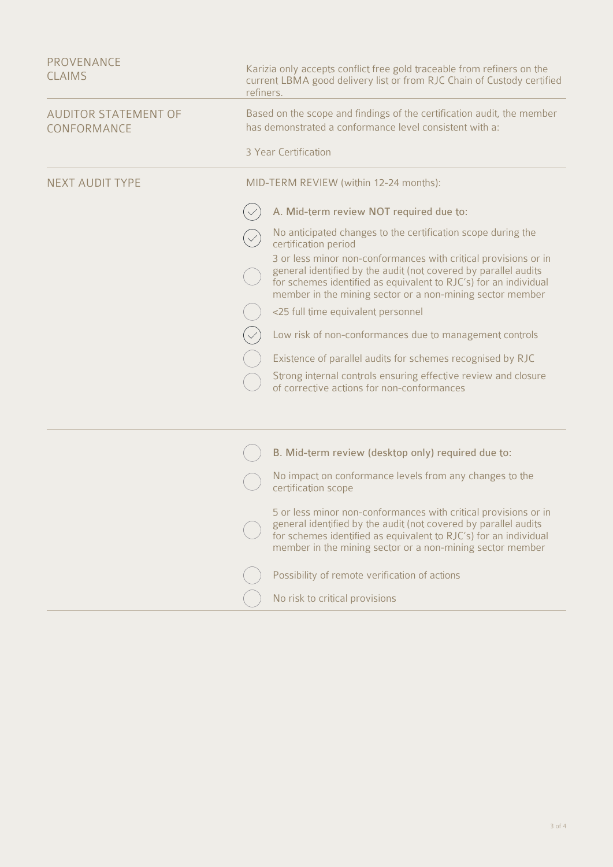| PROVENANCE<br><b>CLAIMS</b>                | Karizia only accepts conflict free gold traceable from refiners on the<br>current LBMA good delivery list or from RJC Chain of Custody certified<br>refiners.                                                                                                       |
|--------------------------------------------|---------------------------------------------------------------------------------------------------------------------------------------------------------------------------------------------------------------------------------------------------------------------|
| <b>AUDITOR STATEMENT OF</b><br>CONFORMANCE | Based on the scope and findings of the certification audit, the member<br>has demonstrated a conformance level consistent with a:                                                                                                                                   |
|                                            | 3 Year Certification                                                                                                                                                                                                                                                |
| <b>NEXT AUDIT TYPE</b>                     | MID-TERM REVIEW (within 12-24 months):                                                                                                                                                                                                                              |
|                                            | A. Mid-term review NOT required due to:                                                                                                                                                                                                                             |
|                                            | No anticipated changes to the certification scope during the<br>certification period                                                                                                                                                                                |
|                                            | 3 or less minor non-conformances with critical provisions or in<br>general identified by the audit (not covered by parallel audits<br>for schemes identified as equivalent to RJC's) for an individual<br>member in the mining sector or a non-mining sector member |
|                                            | <25 full time equivalent personnel                                                                                                                                                                                                                                  |
|                                            | Low risk of non-conformances due to management controls                                                                                                                                                                                                             |
|                                            | Existence of parallel audits for schemes recognised by RJC                                                                                                                                                                                                          |
|                                            | Strong internal controls ensuring effective review and closure<br>of corrective actions for non-conformances                                                                                                                                                        |
|                                            | B. Mid-term review (desktop only) required due to:                                                                                                                                                                                                                  |
|                                            | No impact on conformance levels from any changes to the<br>certification scope                                                                                                                                                                                      |
|                                            | 5 or less minor non-conformances with critical provisions or in<br>general identified by the audit (not covered by parallel audits<br>for schemes identified as equivalent to RJC's) for an individual<br>member in the mining sector or a non-mining sector member |
|                                            | Possibility of remote verification of actions                                                                                                                                                                                                                       |
|                                            | No risk to critical provisions                                                                                                                                                                                                                                      |